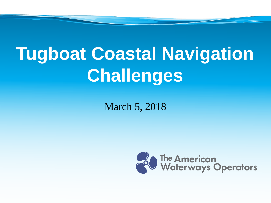## **Tugboat Coastal Navigation Challenges**

#### March 5, 2018

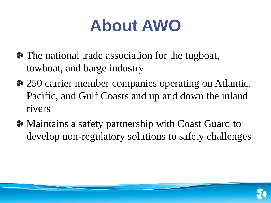### **About AWO**

- The national trade association for the tugboat, towboat, and barge industry
- <sup>●</sup> 250 carrier member companies operating on Atlantic, Pacific, and Gulf Coasts and up and down the inland rivers
- Maintains a safety partnership with Coast Guard to develop non-regulatory solutions to safety challenges

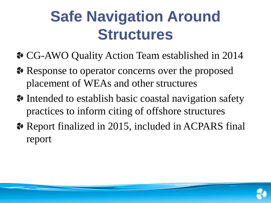#### **Safe Navigation Around Structures**

- **<sup>●</sup> CG-AWO Quality Action Team established in 2014**
- Response to operator concerns over the proposed placement of WEAs and other structures
- Intended to establish basic coastal navigation safety practices to inform citing of offshore structures
- Report finalized in 2015, included in ACPARS final report

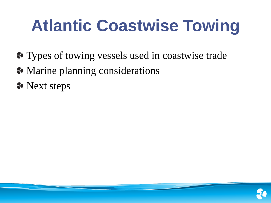### **Atlantic Coastwise Towing**

- Types of towing vessels used in coastwise trade
- Marine planning considerations
- **<sup>◆</sup>** Next steps

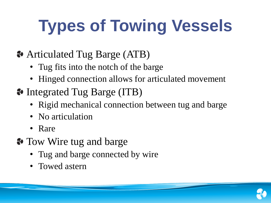# **Types of Towing Vessels**

- Articulated Tug Barge (ATB)
	- Tug fits into the notch of the barge
	- Hinged connection allows for articulated movement
- Integrated Tug Barge (ITB)
	- Rigid mechanical connection between tug and barge
	- No articulation
	- Rare
- Tow Wire tug and barge
	- Tug and barge connected by wire
	- Towed astern

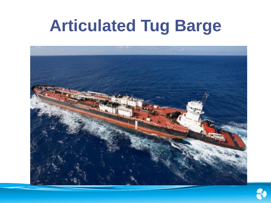### **Articulated Tug Barge**



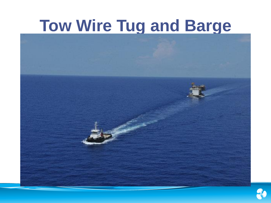#### Tow Wire Tug and Barge



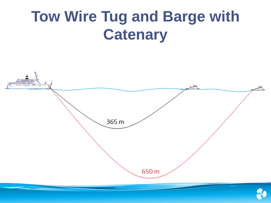#### **Tow Wire Tug and Barge with Catenary**

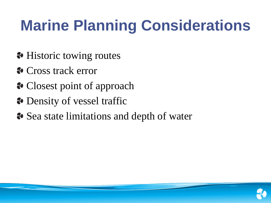#### **Marine Planning Considerations**

- **◆ Historic towing routes**
- **<sup>◆</sup>** Cross track error
- **◆ Closest point of approach**
- **◆ Density of vessel traffic**
- **◆ Sea state limitations and depth of water**

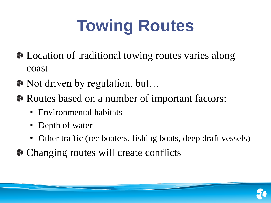### **Towing Routes**

- Location of traditional towing routes varies along coast
- ◆ Not driven by regulation, but...
- Routes based on a number of important factors:
	- Environmental habitats
	- Depth of water
	- Other traffic (rec boaters, fishing boats, deep draft vessels)
- Changing routes will create conflicts

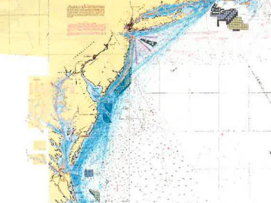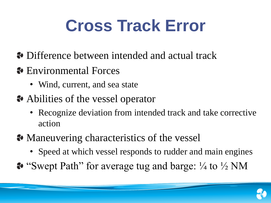### **Cross Track Error**

- Difference between intended and actual track
- **<sup>●</sup>** Environmental Forces
	- Wind, current, and sea state
- **◆ Abilities of the vessel operator** 
	- Recognize deviation from intended track and take corrective action
- Maneuvering characteristics of the vessel
	- Speed at which vessel responds to rudder and main engines
- "Swept Path" for average tug and barge: ¼ to ½ NM

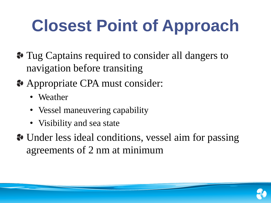### **Closest Point of Approach**

- Tug Captains required to consider all dangers to navigation before transiting
- Appropriate CPA must consider:
	- Weather
	- Vessel maneuvering capability
	- Visibility and sea state
- Under less ideal conditions, vessel aim for passing agreements of 2 nm at minimum

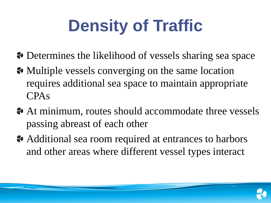## **Density of Traffic**

- $\bullet$  Determines the likelihood of vessels sharing sea space
- Multiple vessels converging on the same location requires additional sea space to maintain appropriate CPAs
- At minimum, routes should accommodate three vessels passing abreast of each other
- Additional sea room required at entrances to harbors and other areas where different vessel types interact

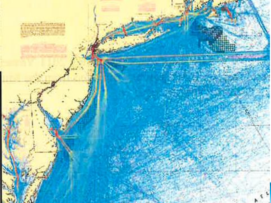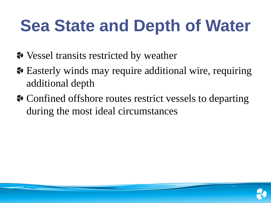### **Sea State and Depth of Water**

- $\bullet$  Vessel transits restricted by weather
- Easterly winds may require additional wire, requiring additional depth
- Confined offshore routes restrict vessels to departing during the most ideal circumstances

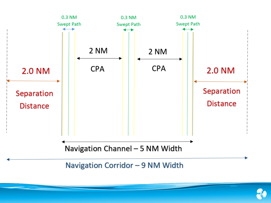

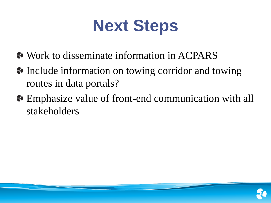

- Work to disseminate information in ACPARS
- Include information on towing corridor and towing routes in data portals?
- Emphasize value of front-end communication with all stakeholders